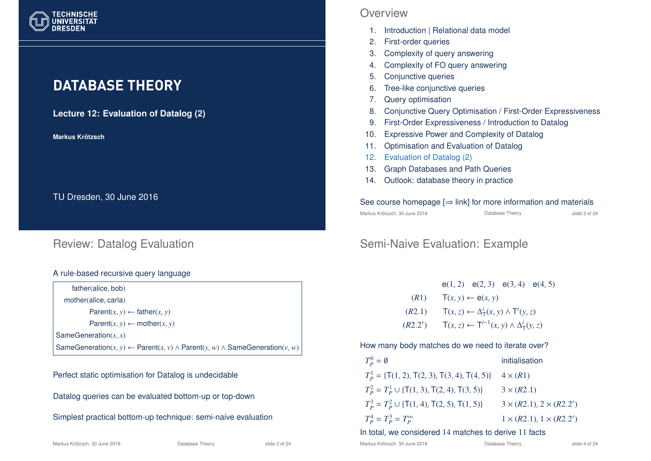

# **DATABASE THEORY**

**Lecture 12: Evaluation of Datalog (2)**

**Markus Krotzsch ¨**

TU Dresden, 30 June 2016

### Review: Datalog Evaluation

#### A rule-based recursive query language

father(alice, bob) mother(alice, carla)  $Parent(x, y) \leftarrow father(x, y)$  $Parent(x, y) \leftarrow mother(x, y)$ SameGeneration(*x*, *x*) SameGeneration( $x, y$ ) ← Parent( $x, y$ ) ∧ Parent( $y, w$ ) ∧ SameGeneration( $y, w$ )

#### Perfect static optimisation for Datalog is undecidable

Datalog queries can be evaluated bottom-up or top-down

Simplest practical bottom-up technique: semi-naive evaluation

### **Overview**

- 1. Introduction | Relational data model
- 2. First-order queries
- 3. Complexity of query answering
- 4. Complexity of FO query answering
- 5. Conjunctive queries
- 6. Tree-like conjunctive queries
- 7. Query optimisation
- 8. Conjunctive Query Optimisation / First-Order Expressiveness
- 9. First-Order Expressiveness / Introduction to Datalog
- 10. Expressive Power and Complexity of Datalog
- 11. Optimisation and Evaluation of Datalog
- 12. Evaluation of Datalog (2)
- 13. Graph Databases and Path Queries
- 14. Outlook: database theory in practice

#### See course homepage  $[\Rightarrow]$  link] for more information and materials

Markus Krötzsch, 30 June 2016 **Database Theory** Charles Controller 2 of 24

# Semi-Naive Evaluation: Example

|         |                                                            | $e(1, 2)$ $e(2, 3)$ $e(3, 4)$ $e(4, 5)$ |  |  |
|---------|------------------------------------------------------------|-----------------------------------------|--|--|
| (R1)    | $T(x, y) \leftarrow e(x, y)$                               |                                         |  |  |
| (R2.1)  | $T(x, z) \leftarrow \Delta^i_T(x, y) \wedge T^i(y, z)$     |                                         |  |  |
| (R2.2') | $T(x, z) \leftarrow T^{i-1}(x, y) \wedge \Delta_T^i(y, z)$ |                                         |  |  |

How many body matches do we need to iterate over?

| $T_p^0 = \emptyset$                                 | initialisation                      |
|-----------------------------------------------------|-------------------------------------|
| $T_p^1 = \{T(1, 2), T(2, 3), T(3, 4), T(4, 5)\}\$   | $4 \times (R1)$                     |
| $T_p^2 = T_p^1 \cup \{T(1, 3), T(2, 4), T(3, 5)\}$  | $3 \times (R2.1)$                   |
| $T_p^3 = T_p^2 \cup \{T(1, 4), T(2, 5), T(1, 5)\}\$ | $3 \times (R2.1), 2 \times (R2.2')$ |
| $T_p^4 = T_p^3 = T_p^{\infty}$                      | $1 \times (R2.1), 1 \times (R2.2')$ |

#### In total, we considered 14 matches to derive 11 facts

Markus Krötzsch, 30 June 2016 **Database Theory** Slide 4 of 24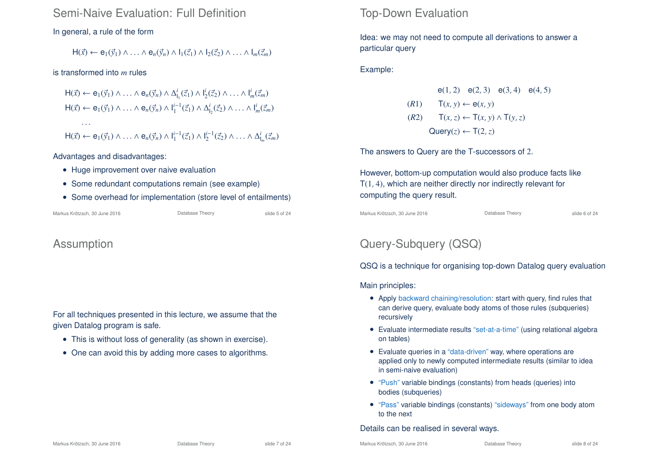### Semi-Naive Evaluation: Full Definition

#### In general, a rule of the form

 $H(\vec{x}) \leftarrow e_1(\vec{v}_1) \wedge \ldots \wedge e_n(\vec{v}_n) \wedge l_1(\vec{z}_1) \wedge l_2(\vec{z}_2) \wedge \ldots \wedge l_m(\vec{z}_m)$ 

#### is transformed into *m* rules

 $H(\vec{x}) \leftarrow e_1(\vec{y}_1) \wedge \ldots \wedge e_n(\vec{y}_n) \wedge \Delta_1^i$  $I_1^i(\vec{z}_1) \wedge I_2^i(\vec{z}_2) \wedge \ldots \wedge I_m^i(\vec{z}_m)$  $H(\vec{x}) \leftarrow e_1(\vec{y}_1) \wedge \ldots \wedge e_n(\vec{y}_n) \wedge I_1^{i-1}(\vec{z}_1) \wedge \Delta_1^i$  $I_2^i(\vec{z}_2) \wedge \ldots \wedge I_m^i(\vec{z}_m)$ . . .  $H(\vec{x}) \leftarrow e_1(\vec{y}_1) \wedge \ldots \wedge e_n(\vec{y}_n) \wedge I_1^{i-1}(\vec{z}_1) \wedge I_2^{i-1}(\vec{z}_2) \wedge \ldots \wedge \Delta_I^{i}$  $\int_{m}^{l}(\vec{\zeta}_m)$ 

#### Advantages and disadvantages:

- Huge improvement over naive evaluation
- Some redundant computations remain (see example)
- Some overhead for implementation (store level of entailments)

Markus Krötzsch, 30 June 2016 **Database Theory** Slide 5 of 24

### Assumption

For all techniques presented in this lecture, we assume that the given Datalog program is safe.

- This is without loss of generality (as shown in exercise).
- One can avoid this by adding more cases to algorithms.

### Top-Down Evaluation

Idea: we may not need to compute all derivations to answer a particular query

Example:

e(1, 2) e(2, 3) e(3, 4) e(4, 5)  $(T(R1)$   $T(x, y) \leftarrow e(x, y)$ (*R*2) T(*x*,*z*) ← T(*x*, *y*) ∧ T(*y*,*z*)  $Query(z) \leftarrow T(2, z)$ 

The answers to Query are the T-successors of 2.

However, bottom-up computation would also produce facts like T(1, 4), which are neither directly nor indirectly relevant for computing the query result.

Markus Krötzsch, 30 June 2016 **Database Theory** Charles Krötzsch, 30 June 2016

# Query-Subquery (QSQ)

QSQ is a technique for organising top-down Datalog query evaluation

Main principles:

- Apply backward chaining/resolution: start with query, find rules that can derive query, evaluate body atoms of those rules (subqueries) recursively
- Evaluate intermediate results "set-at-a-time" (using relational algebra on tables)
- Evaluate queries in a "data-driven" way, where operations are applied only to newly computed intermediate results (similar to idea in semi-naive evaluation)
- "Push" variable bindings (constants) from heads (queries) into bodies (subqueries)
- "Pass" variable bindings (constants) "sideways" from one body atom to the next

#### Details can be realised in several ways.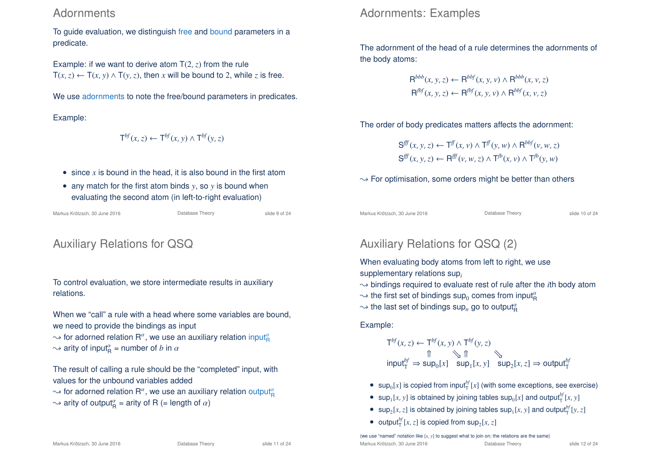### **Adornments**

To guide evaluation, we distinguish free and bound parameters in a predicate.

Example: if we want to derive atom  $T(2, z)$  from the rule  $T(x, z) \leftarrow T(x, y) \wedge T(y, z)$ , then *x* will be bound to 2, while *z* is free.

We use adornments to note the free/bound parameters in predicates.

Example:

$$
\mathsf{T}^{bf}(x,z) \leftarrow \mathsf{T}^{bf}(x,y) \wedge \mathsf{T}^{bf}(y,z)
$$

- since *x* is bound in the head, it is also bound in the first atom
- any match for the first atom binds *y*, so *y* is bound when evaluating the second atom (in left-to-right evaluation)

Markus Krötzsch, 30 June 2016 **Database Theory** Slide 9 of 24

# Auxiliary Relations for QSQ

To control evaluation, we store intermediate results in auxiliary relations.

When we "call" a rule with a head where some variables are bound. we need to provide the bindings as input

 $\sim$  for adorned relation R $^a$ , we use an auxiliary relation input $^a_\mathsf{R}$  $\sim$  arity of input<sub>R</sub><sup> $\alpha$ </sup> = number of *b* in  $\alpha$ 

The result of calling a rule should be the "completed" input, with values for the unbound variables added

- $\sim$  for adorned relation  $\mathsf{R}^a$ , we use an auxiliary relation output $^a_{\mathsf{R}}$
- $\rightsquigarrow$  arity of output $^{\alpha}_{\text{R}}$  = arity of R (= length of  $\alpha$ )

# Adornments: Examples

The adornment of the head of a rule determines the adornments of the body atoms:

$$
R^{bbb}(x, y, z) \leftarrow R^{bbf}(x, y, v) \land R^{bbb}(x, v, z)
$$
  

$$
R^{fbf}(x, y, z) \leftarrow R^{fbf}(x, y, v) \land R^{bbf}(x, v, z)
$$

The order of body predicates matters affects the adornment:

$$
\begin{aligned} \mathbf{S}^{\text{eff}}(x, y, z) &\leftarrow \mathsf{T}^{\text{ff}}(x, v) \land \mathsf{T}^{\text{ff}}(y, w) \land \mathsf{R}^{\text{bbf}}(v, w, z) \\ \mathbf{S}^{\text{ff}}(x, y, z) &\leftarrow \mathsf{R}^{\text{ff}}(v, w, z) \land \mathsf{T}^{\text{fb}}(x, v) \land \mathsf{T}^{\text{fb}}(y, w) \end{aligned}
$$

 $\rightarrow$  For optimisation, some orders might be better than others

Markus Krötzsch, 30 June 2016 **Database Theory** Slide 10 of 24

# Auxiliary Relations for QSQ (2)

When evaluating body atoms from left to right, we use supplementary relations sup*<sup>i</sup>*

- $\rightarrow$  bindings required to evaluate rest of rule after the *i*th body atom
- $\sim$  the first set of bindings  $\mathsf{sup}_0$  comes from input $^{\alpha}_{\mathsf{R}}$
- $\sim$  the last set of bindings sup<sub>n</sub> go to output $^{\alpha}_{\rm R}$

Example:

T *bf*(*x*,*z*) <sup>←</sup> <sup>T</sup> *bf*(*x*, *<sup>y</sup>*) <sup>∧</sup> <sup>T</sup> *bf*(*y*,*z*) ⇑ u ⇑ u input*bf* <sup>T</sup> ⇒ sup<sup>0</sup> [*x*] sup<sup>1</sup> [*x*, *y*] sup<sup>2</sup> [*x*,*z*] <sup>⇒</sup> output*bf* T

- $\sup_0 [x]$  is copied from input<sup>*bf*</sup><sub>[ $x$ ]</sub> (with some exceptions, see exercise)
- sup<sub>1</sub>[*x*, *y*] is obtained by joining tables sup<sub>0</sub>[*x*] and output<sup>*bf*</sup>[*x*, *y*]
- sup<sub>2</sub>[*x*,*z*] is obtained by joining tables sup<sub>1</sub>[*x*, *y*] and output<sup>*bf*</sup></sup>[*y*, *z*]
- output<sup>*bf*</sup><sub> $[T, z]$  is copied from sup<sub>2</sub> $[x, z]$ </sub>

(we use "named" notation like  $[x, y]$  to suggest what to join on; the relations are the same) Markus Krötzsch, 30 June 2016 **Database Theory** Slide 12 of 24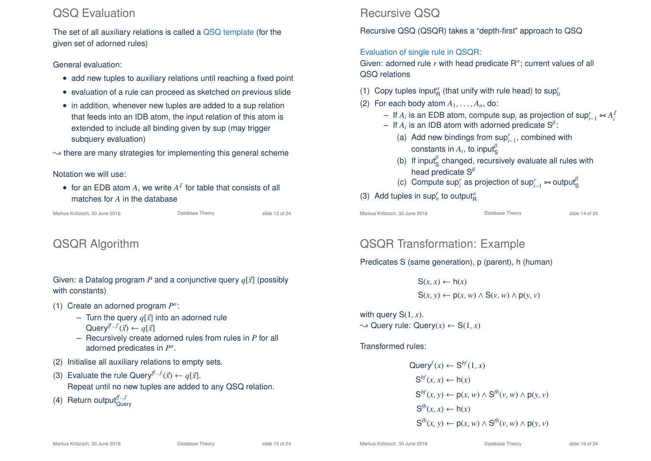# QSQ Evaluation

The set of all auxiliary relations is called a QSQ template (for the given set of adorned rules)

General evaluation:

- add new tuples to auxiliary relations until reaching a fixed point
- evaluation of a rule can proceed as sketched on previous slide
- in addition, whenever new tuples are added to a sup relation that feeds into an IDB atom, the input relation of this atom is extended to include all binding given by sup (may trigger subquery evaluation)
- $\rightarrow$  there are many strategies for implementing this general scheme

Notation we will use:

• for an EDB atom  $A$ , we write  $A<sup>T</sup>$  for table that consists of all matches for *A* in the database

Markus Krötzsch, 30 June 2016 **Database Theory** Slide 13 of 24

# QSQR Algorithm

Given: a Datalog program *P* and a conjunctive query  $q[\vec{x}]$  (possibly with constants)

- (1) Create an adorned program  $P^a$ :
	- Turn the query  $q[\vec{x}]$  into an adorned rule Query<sup> $f\rightarrow f(\vec{x}) \leftarrow q[\vec{x}]$ </sup>
	- Recursively create adorned rules from rules in *P* for all adorned predicates in *P a* .
- (2) Initialise all auxiliary relations to empty sets.
- (3) Evaluate the rule Query<sup> $f^{f-f}(\vec{x}) \leftarrow q[\vec{x}].$ </sup> Repeat until no new tuples are added to any QSQ relation.
- (4) Return output<sup>ff...f</sup>

# Recursive QSQ

Recursive QSQ (QSQR) takes a "depth-first" approach to QSQ

### Evaluation of single rule in QSQR:

Given: adorned rule  $r$  with head predicate  $R^{\alpha}$ ; current values of all QSQ relations

- (1) Copy tuples input<sup> $\alpha$ </sup> (that unify with rule head) to sup $\eta$ <sup>*r*</sup>
- (2) For each body atom  $A_1, \ldots, A_n$ , do:
	- − If *A<sub>i</sub>* is an EDB atom, compute sup<sub>*i*</sub> as projection of sup<sub>*i*−1</sub>  $\Join A_i^T$
	- $-$  If  $A_i$  is an IDB atom with adorned predicate  $\mathsf{S}^\beta$ :
		- (a) Add new bindings from sup*<sup>r</sup> i*−1 , combined with constants in  $A_i$ , to input $^{\beta}_{\mathsf{S}}$
		- (b) If input<sup> $\beta$ </sup> changed, recursively evaluate all rules with head predicate  $S^{\beta}$
		- (c) Compute sup<sup>*r*</sup> as projection of sup<sub>*r*<sup>-1</sup></sub>  $\sim$  output<sup>β</sup>
- (3) Add tuples in  $\sup_n^r$  to output $^{\alpha}_{\mathsf{R}}$

Markus Krötzsch, 30 June 2016 **Database Theory** Slide 14 of 24

# QSQR Transformation: Example

Predicates S (same generation), p (parent), h (human)

 $S(x, x) \leftarrow h(x)$  $S(x, y) \leftarrow p(x, w) \wedge S(y, w) \wedge p(y, y)$ 

with query S(1, *x*).  $\rightarrow$  Query rule: Query(x)  $\leftarrow$  S(1, x)

Transformed rules:

$$
\begin{aligned}\n\text{Query}^f(x) &\leftarrow \mathbf{S}^{bf}(1, x) \\
\mathbf{S}^{bf}(x, x) &\leftarrow h(x) \\
\mathbf{S}^{bf}(x, y) &\leftarrow p(x, w) \land \mathbf{S}^{fb}(v, w) \land p(y, v) \\
\mathbf{S}^{fb}(x, x) &\leftarrow h(x) \\
\mathbf{S}^{fb}(x, y) &\leftarrow p(x, w) \land \mathbf{S}^{fb}(v, w) \land p(y, v)\n\end{aligned}
$$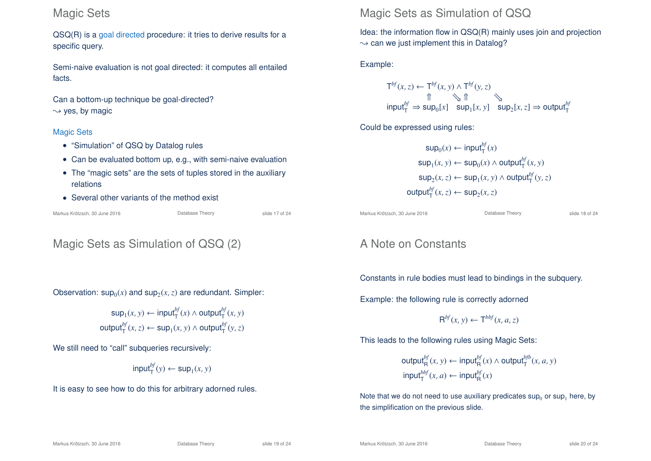### Magic Sets

QSQ(R) is a goal directed procedure: it tries to derive results for a specific query.

Semi-naive evaluation is not goal directed: it computes all entailed facts.

Can a bottom-up technique be goal-directed?  $\rightarrow$  yes, by magic

#### Magic Sets

- "Simulation" of QSQ by Datalog rules
- Can be evaluated bottom up, e.g., with semi-naive evaluation
- The "magic sets" are the sets of tuples stored in the auxiliary relations
- Several other variants of the method exist

Markus Krötzsch, 30 June 2016 **Database Theory** Slide 17 of 24

# Magic Sets as Simulation of QSQ (2)

Observation:  $sup_0(x)$  and  $sup_2(x, z)$  are redundant. Simpler:

$$
\sup_1(x, y) \leftarrow \text{input}^{bf}_T(x) \land \text{output}^{bf}_T(x, y)
$$
\n
$$
\text{output}^{bf}_T(x, z) \leftarrow \sup_1(x, y) \land \text{output}^{bf}_T(y, z)
$$

We still need to "call" subqueries recursively:

$$
\mathsf{input}^{\mathit{bf}}_{\mathsf{T}}(y) \leftarrow \mathsf{sup}_1(x, y)
$$

It is easy to see how to do this for arbitrary adorned rules.

# Magic Sets as Simulation of QSQ

Idea: the information flow in QSQ(R) mainly uses join and projection  $\rightarrow$  can we just implement this in Datalog?

Example:

$$
\begin{array}{ccc}\n\mathsf{T}^{bf}(x,z) \leftarrow \mathsf{T}^{bf}(x,y) \land \mathsf{T}^{bf}(y,z) \\
\uparrow & \searrow \uparrow & \searrow & \searrow & \\
\uparrow & \searrow \uparrow & \searrow & \\
\text{input}^{bf}_{\mathsf{T}} \Rightarrow \text{sup}_{0}[x] & \text{sup}_{1}[x,y] & \text{sup}_{2}[x,z] \Rightarrow \text{output}^{bf}_{\mathsf{T}}\n\end{array}
$$

Could be expressed using rules:

 $\mathsf{sup}_0(x) \leftarrow \mathsf{input}^{bf}_\mathsf{T}(x)$  $\sup_1(x, y) \leftarrow \sup_0(x) \wedge \text{output}^{bf}_T(x, y)$ sup<sub>2</sub>(*x*, *z*) ← sup<sub>1</sub>(*x*, *y*) ∧ output<sup>*bf*</sup><sub> $\Gamma$ </sub>(*y*, *z*)  $\text{output}_{\mathsf{T}}^{bf}(x, z) \leftarrow \text{sup}_{2}(x, z)$ 

Markus Krötzsch, 30 June 2016 **Database Theory** Slide 18 of 24

# A Note on Constants

Constants in rule bodies must lead to bindings in the subquery.

Example: the following rule is correctly adorned

$$
\mathsf{R}^{bf}(x,y) \leftarrow \mathsf{T}^{bbf}(x,a,z)
$$

This leads to the following rules using Magic Sets:

 $\text{output}_{\mathsf{R}}^{bf}(x, y) \leftarrow \text{input}_{\mathsf{R}}^{bf}(x) \land \text{output}_{\mathsf{T}}^{bfb}(x, a, y)$  $\mathsf{input}^{bbf}_{\mathsf{T}}(x, a) \leftarrow \mathsf{input}^{bbf}_{\mathsf{R}}(x)$ 

Note that we do not need to use auxiliary predicates  $\sup_0$  or  $\sup_1$  here, by the simplification on the previous slide.